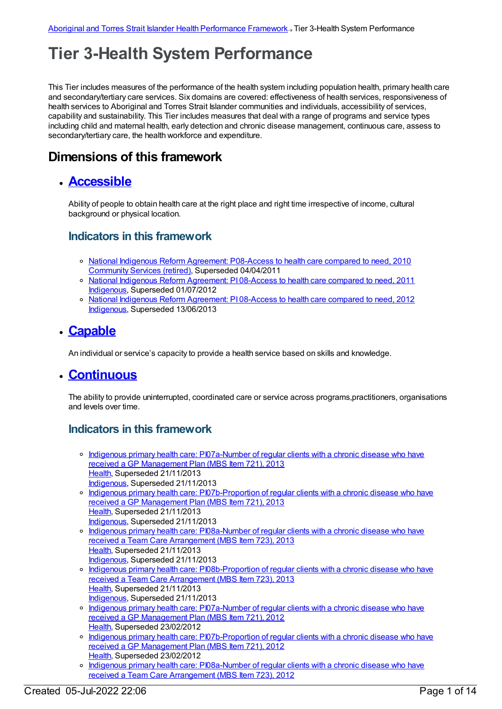# **Tier 3-Health System Performance**

This Tier includes measures of the performance of the health system including population health, primary health care and secondary/tertiary care services. Six domains are covered: effectiveness of health services, responsiveness of health services to Aboriginal and Torres Strait Islander communities and individuals, accessibility of services, capability and sustainability. This Tier includes measures that deal with a range of programs and service types including child and maternal health, early detection and chronic disease management, continuous care, assess to secondary/tertiary care, the health workforce and expenditure.

### **Dimensions of this framework**

# **[Accessible](https://meteor.aihw.gov.au/content/410683)**

Ability of people to obtain health care at the right place and right time irrespective of income, cultural background or physical location.

#### **Indicators in this framework**

- o National Indigenous Reform Agreement: [P08-Access](https://meteor.aihw.gov.au/content/396666) to health care compared to need, 2010 [Community](https://meteor.aihw.gov.au/RegistrationAuthority/1) Services (retired), Superseded 04/04/2011
- o National Indigenous Reform [Agreement:](https://meteor.aihw.gov.au/content/425752) PI 08-Access to health care compared to need, 2011 [Indigenous](https://meteor.aihw.gov.au/RegistrationAuthority/6), Superseded 01/07/2012
- o National Indigenous Reform [Agreement:](https://meteor.aihw.gov.au/content/438593) PI 08-Access to health care compared to need, 2012 [Indigenous](https://meteor.aihw.gov.au/RegistrationAuthority/6), Superseded 13/06/2013

# **[Capable](https://meteor.aihw.gov.au/content/410685)**

An individual or service's capacity to provide a health service based on skills and knowledge.

#### **[Continuous](https://meteor.aihw.gov.au/content/410684)**

The ability to provide uninterrupted, coordinated care or service across programs,practitioners, organisations and levels over time.

#### **Indicators in this framework**

- o Indigenous primary health care: [PI07a-Number](https://meteor.aihw.gov.au/content/468102) of regular clients with a chronic disease who have received a GP Management Plan (MBS Item 721), 2013 [Health](https://meteor.aihw.gov.au/RegistrationAuthority/12), Superseded 21/11/2013 [Indigenous](https://meteor.aihw.gov.au/RegistrationAuthority/6), Superseded 21/11/2013
- <sup>o</sup> Indigenous primary health care: [PI07b-Proportion](https://meteor.aihw.gov.au/content/468104) of regular clients with a chronic disease who have received a GP Management Plan (MBS Item 721), 2013 [Health](https://meteor.aihw.gov.au/RegistrationAuthority/12), Superseded 21/11/2013
- [Indigenous](https://meteor.aihw.gov.au/RegistrationAuthority/6), Superseded 21/11/2013
- o Indigenous primary health care: [PI08a-Number](https://meteor.aihw.gov.au/content/468106) of regular clients with a chronic disease who have received a Team Care Arrangement (MBS Item 723), 2013 [Health](https://meteor.aihw.gov.au/RegistrationAuthority/12), Superseded 21/11/2013 [Indigenous](https://meteor.aihw.gov.au/RegistrationAuthority/6), Superseded 21/11/2013
- o Indigenous primary health care: [PI08b-Proportion](https://meteor.aihw.gov.au/content/468108) of regular clients with a chronic disease who have received a Team Care Arrangement (MBS Item 723), 2013 [Health](https://meteor.aihw.gov.au/RegistrationAuthority/12), Superseded 21/11/2013 [Indigenous](https://meteor.aihw.gov.au/RegistrationAuthority/6), Superseded 21/11/2013
- o Indigenous primary health care: [PI07a-Number](https://meteor.aihw.gov.au/content/432543) of regular clients with a chronic disease who have received a GP Management Plan (MBS Item 721), 2012 [Health](https://meteor.aihw.gov.au/RegistrationAuthority/12), Superseded 23/02/2012
- o Indigenous primary health care: [PI07b-Proportion](https://meteor.aihw.gov.au/content/432523) of regular clients with a chronic disease who have received a GP Management Plan (MBS Item 721), 2012 [Health](https://meteor.aihw.gov.au/RegistrationAuthority/12), Superseded 23/02/2012
- o Indigenous primary health care: [PI08a-Number](https://meteor.aihw.gov.au/content/432545) of regular clients with a chronic disease who have received a Team Care Arrangement (MBS Item 723), 2012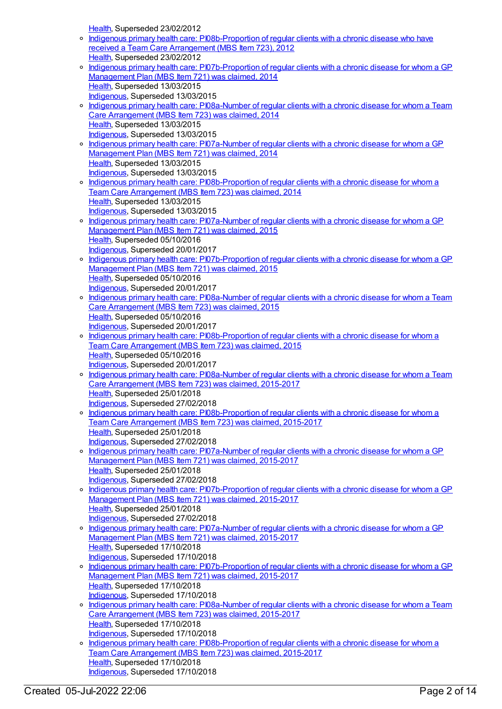[Health](https://meteor.aihw.gov.au/RegistrationAuthority/12), Superseded 23/02/2012

- o Indigenous primary health care: [PI08b-Proportion](https://meteor.aihw.gov.au/content/432533) of regular clients with a chronic disease who have received a Team Care Arrangement (MBS Item 723), 2012 [Health](https://meteor.aihw.gov.au/RegistrationAuthority/12), Superseded 23/02/2012
- <sup>o</sup> Indigenous primary health care: [PI07b-Proportion](https://meteor.aihw.gov.au/content/504677) of regular clients with a chronic disease for whom a GP Management Plan (MBS Item 721) was claimed, 2014 [Health](https://meteor.aihw.gov.au/RegistrationAuthority/12), Superseded 13/03/2015 [Indigenous](https://meteor.aihw.gov.au/RegistrationAuthority/6), Superseded 13/03/2015
- o Indigenous primary health care: [PI08a-Number](https://meteor.aihw.gov.au/content/504679) of regular clients with a chronic disease for whom a Team Care Arrangement (MBS Item 723) was claimed, 2014 [Health](https://meteor.aihw.gov.au/RegistrationAuthority/12), Superseded 13/03/2015 [Indigenous](https://meteor.aihw.gov.au/RegistrationAuthority/6), Superseded 13/03/2015
- o Indigenous primary health care: [PI07a-Number](https://meteor.aihw.gov.au/content/504675) of regular clients with a chronic disease for whom a GP Management Plan (MBS Item 721) was claimed, 2014 [Health](https://meteor.aihw.gov.au/RegistrationAuthority/12), Superseded 13/03/2015 [Indigenous](https://meteor.aihw.gov.au/RegistrationAuthority/6), Superseded 13/03/2015
- o Indigenous primary health care: [PI08b-Proportion](https://meteor.aihw.gov.au/content/504681) of regular clients with a chronic disease for whom a Team Care Arrangement (MBS Item 723) was claimed, 2014 [Health](https://meteor.aihw.gov.au/RegistrationAuthority/12), Superseded 13/03/2015 [Indigenous](https://meteor.aihw.gov.au/RegistrationAuthority/6), Superseded 13/03/2015
- o Indigenous primary health care: [PI07a-Number](https://meteor.aihw.gov.au/content/589006) of regular clients with a chronic disease for whom a GP Management Plan (MBS Item 721) was claimed, 2015 [Health](https://meteor.aihw.gov.au/RegistrationAuthority/12), Superseded 05/10/2016 [Indigenous](https://meteor.aihw.gov.au/RegistrationAuthority/6), Superseded 20/01/2017
- o Indigenous primary health care: [PI07b-Proportion](https://meteor.aihw.gov.au/content/589008) of regular clients with a chronic disease for whom a GP Management Plan (MBS Item 721) was claimed, 2015 [Health](https://meteor.aihw.gov.au/RegistrationAuthority/12), Superseded 05/10/2016 [Indigenous](https://meteor.aihw.gov.au/RegistrationAuthority/6), Superseded 20/01/2017
- Indigenous primary health care: [PI08a-Number](https://meteor.aihw.gov.au/content/589012) of regular clients with a chronic disease for whom a Team Care Arrangement (MBS Item 723) was claimed, 2015 [Health](https://meteor.aihw.gov.au/RegistrationAuthority/12), Superseded 05/10/2016 [Indigenous](https://meteor.aihw.gov.au/RegistrationAuthority/6), Superseded 20/01/2017
- o Indigenous primary health care: [PI08b-Proportion](https://meteor.aihw.gov.au/content/589016) of regular clients with a chronic disease for whom a Team Care Arrangement (MBS Item 723) was claimed, 2015 [Health](https://meteor.aihw.gov.au/RegistrationAuthority/12), Superseded 05/10/2016 [Indigenous](https://meteor.aihw.gov.au/RegistrationAuthority/6), Superseded 20/01/2017
- o Indigenous primary health care: [PI08a-Number](https://meteor.aihw.gov.au/content/663939) of regular clients with a chronic disease for whom a Team Care Arrangement (MBS Item 723) was claimed, 2015-2017 [Health](https://meteor.aihw.gov.au/RegistrationAuthority/12), Superseded 25/01/2018
- [Indigenous](https://meteor.aihw.gov.au/RegistrationAuthority/6), Superseded 27/02/2018 o Indigenous primary health care: [PI08b-Proportion](https://meteor.aihw.gov.au/content/663942) of regular clients with a chronic disease for whom a Team Care Arrangement (MBS Item 723) was claimed, 2015-2017 [Health](https://meteor.aihw.gov.au/RegistrationAuthority/12), Superseded 25/01/2018 [Indigenous](https://meteor.aihw.gov.au/RegistrationAuthority/6), Superseded 27/02/2018
- o Indigenous primary health care: [PI07a-Number](https://meteor.aihw.gov.au/content/663932) of regular clients with a chronic disease for whom a GP Management Plan (MBS Item 721) was claimed, 2015-2017 [Health](https://meteor.aihw.gov.au/RegistrationAuthority/12), Superseded 25/01/2018 [Indigenous](https://meteor.aihw.gov.au/RegistrationAuthority/6), Superseded 27/02/2018
- o Indigenous primary health care: [PI07b-Proportion](https://meteor.aihw.gov.au/content/663937) of regular clients with a chronic disease for whom a GP Management Plan (MBS Item 721) was claimed, 2015-2017 [Health](https://meteor.aihw.gov.au/RegistrationAuthority/12), Superseded 25/01/2018 [Indigenous](https://meteor.aihw.gov.au/RegistrationAuthority/6), Superseded 27/02/2018
- o Indigenous primary health care: [PI07a-Number](https://meteor.aihw.gov.au/content/686434) of regular clients with a chronic disease for whom a GP Management Plan (MBS Item 721) was claimed, 2015-2017 [Health](https://meteor.aihw.gov.au/RegistrationAuthority/12), Superseded 17/10/2018 [Indigenous](https://meteor.aihw.gov.au/RegistrationAuthority/6), Superseded 17/10/2018
- o Indigenous primary health care: [PI07b-Proportion](https://meteor.aihw.gov.au/content/686438) of regular clients with a chronic disease for whom a GP Management Plan (MBS Item 721) was claimed, 2015-2017 [Health](https://meteor.aihw.gov.au/RegistrationAuthority/12), Superseded 17/10/2018 [Indigenous](https://meteor.aihw.gov.au/RegistrationAuthority/6), Superseded 17/10/2018
- o Indigenous primary health care: [PI08a-Number](https://meteor.aihw.gov.au/content/686442) of regular clients with a chronic disease for whom a Team Care Arrangement (MBS Item 723) was claimed, 2015-2017 [Health](https://meteor.aihw.gov.au/RegistrationAuthority/12), Superseded 17/10/2018 [Indigenous](https://meteor.aihw.gov.au/RegistrationAuthority/6), Superseded 17/10/2018
- o Indigenous primary health care: [PI08b-Proportion](https://meteor.aihw.gov.au/content/686445) of regular clients with a chronic disease for whom a Team Care Arrangement (MBS Item 723) was claimed, 2015-2017 [Health](https://meteor.aihw.gov.au/RegistrationAuthority/12), Superseded 17/10/2018 [Indigenous](https://meteor.aihw.gov.au/RegistrationAuthority/6), Superseded 17/10/2018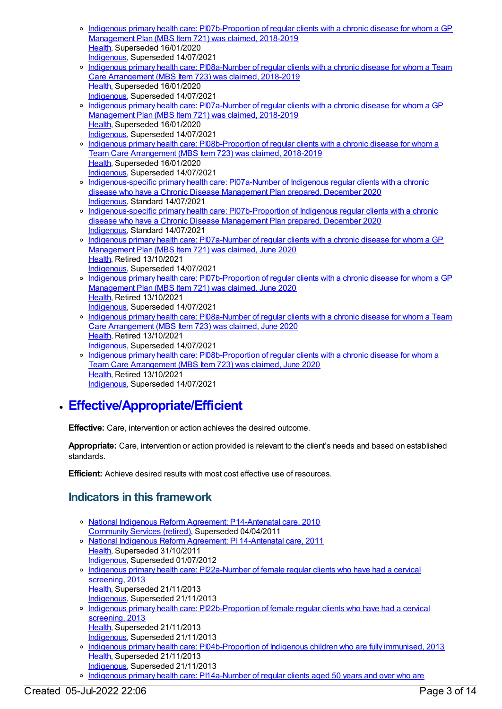- Indigenous primary health care: [PI07b-Proportion](https://meteor.aihw.gov.au/content/687950) of regular clients with a chronic disease for whom a GP Management Plan (MBS Item 721) was claimed, 2018-2019 [Health](https://meteor.aihw.gov.au/RegistrationAuthority/12), Superseded 16/01/2020 [Indigenous](https://meteor.aihw.gov.au/RegistrationAuthority/6), Superseded 14/07/2021
- o Indigenous primary health care: [PI08a-Number](https://meteor.aihw.gov.au/content/687952) of regular clients with a chronic disease for whom a Team Care Arrangement (MBS Item 723) was claimed, 2018-2019 [Health](https://meteor.aihw.gov.au/RegistrationAuthority/12), Superseded 16/01/2020 [Indigenous](https://meteor.aihw.gov.au/RegistrationAuthority/6), Superseded 14/07/2021
- o Indigenous primary health care: [PI07a-Number](https://meteor.aihw.gov.au/content/687948) of regular clients with a chronic disease for whom a GP Management Plan (MBS Item 721) was claimed, 2018-2019 [Health](https://meteor.aihw.gov.au/RegistrationAuthority/12), Superseded 16/01/2020 [Indigenous](https://meteor.aihw.gov.au/RegistrationAuthority/6), Superseded 14/07/2021
- Indigenous primary health care: [PI08b-Proportion](https://meteor.aihw.gov.au/content/687954) of regular clients with a chronic disease for whom a Team Care Arrangement (MBS Item 723) was claimed, 2018-2019 [Health](https://meteor.aihw.gov.au/RegistrationAuthority/12), Superseded 16/01/2020 [Indigenous](https://meteor.aihw.gov.au/RegistrationAuthority/6), Superseded 14/07/2021
- [Indigenous-specific](https://meteor.aihw.gov.au/content/731823) primary health care: PI07a-Number of Indigenous regular clients with a chronic disease who have a Chronic Disease Management Plan prepared, December 2020 [Indigenous](https://meteor.aihw.gov.au/RegistrationAuthority/6), Standard 14/07/2021
- [Indigenous-specific](https://meteor.aihw.gov.au/content/731846) primary health care: PI07b-Proportion of Indigenous regular clients with a chronic disease who have a Chronic Disease Management Plan prepared, December 2020 [Indigenous](https://meteor.aihw.gov.au/RegistrationAuthority/6), Standard 14/07/2021
- o Indigenous primary health care: [PI07a-Number](https://meteor.aihw.gov.au/content/717292) of regular clients with a chronic disease for whom a GP Management Plan (MBS Item 721) was claimed, June 2020 [Health](https://meteor.aihw.gov.au/RegistrationAuthority/12), Retired 13/10/2021 [Indigenous](https://meteor.aihw.gov.au/RegistrationAuthority/6), Superseded 14/07/2021
- o Indigenous primary health care: [PI07b-Proportion](https://meteor.aihw.gov.au/content/717294) of regular clients with a chronic disease for whom a GP Management Plan (MBS Item 721) was claimed, June 2020 [Health](https://meteor.aihw.gov.au/RegistrationAuthority/12), Retired 13/10/2021 [Indigenous](https://meteor.aihw.gov.au/RegistrationAuthority/6), Superseded 14/07/2021
- o Indigenous primary health care: [PI08a-Number](https://meteor.aihw.gov.au/content/717296) of regular clients with a chronic disease for whom a Team Care Arrangement (MBS Item 723) was claimed, June 2020 [Health](https://meteor.aihw.gov.au/RegistrationAuthority/12), Retired 13/10/2021 [Indigenous](https://meteor.aihw.gov.au/RegistrationAuthority/6), Superseded 14/07/2021
- o Indigenous primary health care: [PI08b-Proportion](https://meteor.aihw.gov.au/content/717298) of regular clients with a chronic disease for whom a Team Care Arrangement (MBS Item 723) was claimed, June 2020 [Health](https://meteor.aihw.gov.au/RegistrationAuthority/12), Retired 13/10/2021 [Indigenous](https://meteor.aihw.gov.au/RegistrationAuthority/6), Superseded 14/07/2021

# **[Effective/Appropriate/Efficient](https://meteor.aihw.gov.au/content/410681)**

**Effective:** Care, intervention or action achieves the desired outcome.

**Appropriate:** Care, intervention or action provided is relevant to the client's needs and based on established standards.

**Efficient:** Achieve desired results with most cost effective use of resources.

# **Indicators in this framework**

- National Indigenous Reform Agreement: [P14-Antenatal](https://meteor.aihw.gov.au/content/396575) care, 2010 [Community](https://meteor.aihw.gov.au/RegistrationAuthority/1) Services (retired), Superseded 04/04/2011
- National Indigenous Reform Agreement: PI [14-Antenatal](https://meteor.aihw.gov.au/content/425775) care, 2011 [Health](https://meteor.aihw.gov.au/RegistrationAuthority/12), Superseded 31/10/2011 [Indigenous](https://meteor.aihw.gov.au/RegistrationAuthority/6), Superseded 01/07/2012
- Indigenous primary health care: [PI22a-Number](https://meteor.aihw.gov.au/content/438211) of female regular clients who have had a cervical screening, 2013
	- [Health](https://meteor.aihw.gov.au/RegistrationAuthority/12), Superseded 21/11/2013 [Indigenous](https://meteor.aihw.gov.au/RegistrationAuthority/6), Superseded 21/11/2013
- Indigenous primary health care: [PI22b-Proportion](https://meteor.aihw.gov.au/content/438215) of female regular clients who have had a cervical screening, 2013
	- [Health](https://meteor.aihw.gov.au/RegistrationAuthority/12), Superseded 21/11/2013
- [Indigenous](https://meteor.aihw.gov.au/RegistrationAuthority/6), Superseded 21/11/2013 o Indigenous primary health care: [PI04b-Proportion](https://meteor.aihw.gov.au/content/438003) of Indigenous children who are fully immunised, 2013 [Health](https://meteor.aihw.gov.au/RegistrationAuthority/12), Superseded 21/11/2013 [Indigenous](https://meteor.aihw.gov.au/RegistrationAuthority/6), Superseded 21/11/2013
- o Indigenous primary health care: [PI14a-Number](https://meteor.aihw.gov.au/content/441429) of regular clients aged 50 years and over who are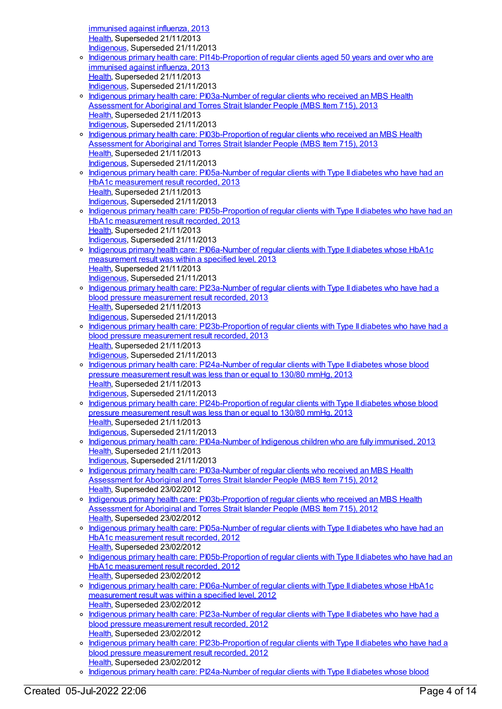immunised against influenza, 2013 [Health](https://meteor.aihw.gov.au/RegistrationAuthority/12), Superseded 21/11/2013 [Indigenous](https://meteor.aihw.gov.au/RegistrationAuthority/6), Superseded 21/11/2013

- o Indigenous primary health care: [PI14b-Proportion](https://meteor.aihw.gov.au/content/441433) of regular clients aged 50 years and over who are immunised against influenza, 2013 [Health](https://meteor.aihw.gov.au/RegistrationAuthority/12), Superseded 21/11/2013 [Indigenous](https://meteor.aihw.gov.au/RegistrationAuthority/6), Superseded 21/11/2013
- o Indigenous primary health care: [PI03a-Number](https://meteor.aihw.gov.au/content/468091) of regular clients who received an MBS Health Assessment for Aboriginal and Torres Strait Islander People (MBS Item 715), 2013 [Health](https://meteor.aihw.gov.au/RegistrationAuthority/12), Superseded 21/11/2013 [Indigenous](https://meteor.aihw.gov.au/RegistrationAuthority/6), Superseded 21/11/2013
- o Indigenous primary health care: [PI03b-Proportion](https://meteor.aihw.gov.au/content/469858) of regular clients who received an MBS Health Assessment for Aboriginal and Torres Strait Islander People (MBS Item 715), 2013 [Health](https://meteor.aihw.gov.au/RegistrationAuthority/12), Superseded 21/11/2013 [Indigenous](https://meteor.aihw.gov.au/RegistrationAuthority/6), Superseded 21/11/2013
- o Indigenous primary health care: [PI05a-Number](https://meteor.aihw.gov.au/content/468094) of regular clients with Type II diabetes who have had an HbA1c measurement result recorded, 2013 [Health](https://meteor.aihw.gov.au/RegistrationAuthority/12), Superseded 21/11/2013 [Indigenous](https://meteor.aihw.gov.au/RegistrationAuthority/6), Superseded 21/11/2013
- Indigenous primary health care: [PI05b-Proportion](https://meteor.aihw.gov.au/content/468096) of regular clients with Type II diabetes who have had an HbA1c measurement result recorded, 2013 [Health](https://meteor.aihw.gov.au/RegistrationAuthority/12), Superseded 21/11/2013 [Indigenous](https://meteor.aihw.gov.au/RegistrationAuthority/6), Superseded 21/11/2013
- o Indigenous primary health care: [PI06a-Number](https://meteor.aihw.gov.au/content/468098) of regular clients with Type II diabetes whose HbA1c measurement result was within a specified level, 2013 [Health](https://meteor.aihw.gov.au/RegistrationAuthority/12), Superseded 21/11/2013 [Indigenous](https://meteor.aihw.gov.au/RegistrationAuthority/6), Superseded 21/11/2013
- Indigenous primary health care: [PI23a-Number](https://meteor.aihw.gov.au/content/468125) of regular clients with Type II diabetes who have had a blood pressure measurement result recorded, 2013 [Health](https://meteor.aihw.gov.au/RegistrationAuthority/12), Superseded 21/11/2013 [Indigenous](https://meteor.aihw.gov.au/RegistrationAuthority/6), Superseded 21/11/2013
- o Indigenous primary health care: [PI23b-Proportion](https://meteor.aihw.gov.au/content/468128) of regular clients with Type II diabetes who have had a blood pressure measurement result recorded, 2013 [Health](https://meteor.aihw.gov.au/RegistrationAuthority/12), Superseded 21/11/2013 [Indigenous](https://meteor.aihw.gov.au/RegistrationAuthority/6), Superseded 21/11/2013
- o Indigenous primary health care: [PI24a-Number](https://meteor.aihw.gov.au/content/468130) of regular clients with Type II diabetes whose blood pressure measurement result was less than or equal to 130/80 mmHg, 2013 [Health](https://meteor.aihw.gov.au/RegistrationAuthority/12), Superseded 21/11/2013 [Indigenous](https://meteor.aihw.gov.au/RegistrationAuthority/6), Superseded 21/11/2013
- o Indigenous primary health care: [PI24b-Proportion](https://meteor.aihw.gov.au/content/468134) of regular clients with Type II diabetes whose blood pressure measurement result was less than or equal to 130/80 mmHg, 2013 [Health](https://meteor.aihw.gov.au/RegistrationAuthority/12), Superseded 21/11/2013 [Indigenous](https://meteor.aihw.gov.au/RegistrationAuthority/6), Superseded 21/11/2013
- Indigenous primary health care: [PI04a-Number](https://meteor.aihw.gov.au/content/437976) of Indigenous children who are fully immunised, 2013 [Health](https://meteor.aihw.gov.au/RegistrationAuthority/12), Superseded 21/11/2013 [Indigenous](https://meteor.aihw.gov.au/RegistrationAuthority/6), Superseded 21/11/2013
- o Indigenous primary health care: [PI03a-Number](https://meteor.aihw.gov.au/content/431773) of regular clients who received an MBS Health Assessment for Aboriginal and Torres Strait Islander People (MBS Item 715), 2012 [Health](https://meteor.aihw.gov.au/RegistrationAuthority/12), Superseded 23/02/2012
- o Indigenous primary health care: [PI03b-Proportion](https://meteor.aihw.gov.au/content/431768) of regular clients who received an MBS Health Assessment for Aboriginal and Torres Strait Islander People (MBS Item 715), 2012 [Health](https://meteor.aihw.gov.au/RegistrationAuthority/12), Superseded 23/02/2012
- o Indigenous primary health care: [PI05a-Number](https://meteor.aihw.gov.au/content/432293) of regular clients with Type II diabetes who have had an HbA1c measurement result recorded, 2012 [Health](https://meteor.aihw.gov.au/RegistrationAuthority/12), Superseded 23/02/2012
- o Indigenous primary health care: [PI05b-Proportion](https://meteor.aihw.gov.au/content/432280) of regular clients with Type II diabetes who have had an HbA1c measurement result recorded, 2012 [Health](https://meteor.aihw.gov.au/RegistrationAuthority/12), Superseded 23/02/2012
- o Indigenous primary health care: [PI06a-Number](https://meteor.aihw.gov.au/content/438245) of regular clients with Type II diabetes whose HbA1c measurement result was within a specified level, 2012 [Health](https://meteor.aihw.gov.au/RegistrationAuthority/12), Superseded 23/02/2012
- o Indigenous primary health care: [PI23a-Number](https://meteor.aihw.gov.au/content/441412) of regular clients with Type II diabetes who have had a blood pressure measurement result recorded, 2012 [Health](https://meteor.aihw.gov.au/RegistrationAuthority/12), Superseded 23/02/2012
- o Indigenous primary health care: [PI23b-Proportion](https://meteor.aihw.gov.au/content/441417) of regular clients with Type II diabetes who have had a blood pressure measurement result recorded, 2012 [Health](https://meteor.aihw.gov.au/RegistrationAuthority/12), Superseded 23/02/2012
- o Indigenous primary health care: [PI24a-Number](https://meteor.aihw.gov.au/content/441445) of regular clients with Type II diabetes whose blood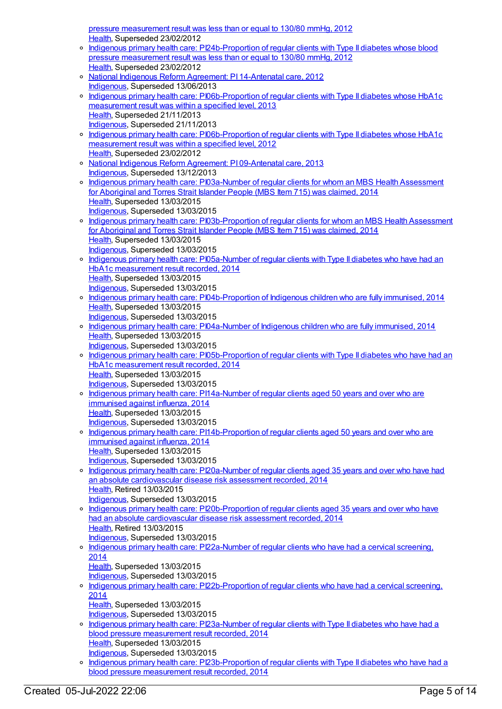pressure measurement result was less than or equal to 130/80 mmHg, 2012 [Health](https://meteor.aihw.gov.au/RegistrationAuthority/12), Superseded 23/02/2012

- o Indigenous primary health care: [PI24b-Proportion](https://meteor.aihw.gov.au/content/441449) of regular clients with Type II diabetes whose blood pressure measurement result was less than or equal to 130/80 mmHg, 2012 [Health](https://meteor.aihw.gov.au/RegistrationAuthority/12), Superseded 23/02/2012
- o National Indigenous Reform Agreement: PI [14-Antenatal](https://meteor.aihw.gov.au/content/438513) care, 2012 [Indigenous](https://meteor.aihw.gov.au/RegistrationAuthority/6), Superseded 13/06/2013
- o Indigenous primary health care: [PI06b-Proportion](https://meteor.aihw.gov.au/content/468100) of regular clients with Type II diabetes whose HbA1c measurement result was within a specified level, 2013 [Health](https://meteor.aihw.gov.au/RegistrationAuthority/12), Superseded 21/11/2013 [Indigenous](https://meteor.aihw.gov.au/RegistrationAuthority/6), Superseded 21/11/2013
- o Indigenous primary health care: [PI06b-Proportion](https://meteor.aihw.gov.au/content/441158) of regular clients with Type II diabetes whose HbA1c measurement result was within a specified level, 2012 [Health](https://meteor.aihw.gov.au/RegistrationAuthority/12), Superseded 23/02/2012
- National Indigenous Reform Agreement: PI [09-Antenatal](https://meteor.aihw.gov.au/content/484317) care, 2013 [Indigenous](https://meteor.aihw.gov.au/RegistrationAuthority/6), Superseded 13/12/2013
- o Indigenous primary health care: [PI03a-Number](https://meteor.aihw.gov.au/content/504652) of regular clients for whom an MBS Health Assessment for Aboriginal and Torres Strait Islander People (MBS Item 715) was claimed, 2014 [Health](https://meteor.aihw.gov.au/RegistrationAuthority/12), Superseded 13/03/2015 [Indigenous](https://meteor.aihw.gov.au/RegistrationAuthority/6), Superseded 13/03/2015
- Indigenous primary health care: [PI03b-Proportion](https://meteor.aihw.gov.au/content/504659) of regular clients for whom an MBS Health Assessment for Aboriginal and Torres Strait Islander People (MBS Item 715) was claimed. 2014 [Health](https://meteor.aihw.gov.au/RegistrationAuthority/12), Superseded 13/03/2015 [Indigenous](https://meteor.aihw.gov.au/RegistrationAuthority/6), Superseded 13/03/2015
- o Indigenous primary health care: [PI05a-Number](https://meteor.aihw.gov.au/content/504700) of regular clients with Type II diabetes who have had an HbA1c measurement result recorded, 2014 [Health](https://meteor.aihw.gov.au/RegistrationAuthority/12), Superseded 13/03/2015 [Indigenous](https://meteor.aihw.gov.au/RegistrationAuthority/6), Superseded 13/03/2015
- o Indigenous primary health care: [PI04b-Proportion](https://meteor.aihw.gov.au/content/504698) of Indigenous children who are fully immunised, 2014 [Health](https://meteor.aihw.gov.au/RegistrationAuthority/12), Superseded 13/03/2015 [Indigenous](https://meteor.aihw.gov.au/RegistrationAuthority/6), Superseded 13/03/2015
- Indigenous primary health care: [PI04a-Number](https://meteor.aihw.gov.au/content/504696) of Indigenous children who are fully immunised, 2014 [Health](https://meteor.aihw.gov.au/RegistrationAuthority/12), Superseded 13/03/2015 [Indigenous](https://meteor.aihw.gov.au/RegistrationAuthority/6), Superseded 13/03/2015
- o Indigenous primary health care: [PI05b-Proportion](https://meteor.aihw.gov.au/content/504702) of regular clients with Type II diabetes who have had an HbA1c measurement result recorded, 2014 [Health](https://meteor.aihw.gov.au/RegistrationAuthority/12), Superseded 13/03/2015 [Indigenous](https://meteor.aihw.gov.au/RegistrationAuthority/6), Superseded 13/03/2015
- o Indigenous primary health care: [PI14a-Number](https://meteor.aihw.gov.au/content/504735) of regular clients aged 50 years and over who are immunised against influenza, 2014 [Health](https://meteor.aihw.gov.au/RegistrationAuthority/12), Superseded 13/03/2015 [Indigenous](https://meteor.aihw.gov.au/RegistrationAuthority/6), Superseded 13/03/2015
- o Indigenous primary health care: [PI14b-Proportion](https://meteor.aihw.gov.au/content/504737) of regular clients aged 50 years and over who are immunised against influenza, 2014 [Health](https://meteor.aihw.gov.au/RegistrationAuthority/12), Superseded 13/03/2015
- [Indigenous](https://meteor.aihw.gov.au/RegistrationAuthority/6), Superseded 13/03/2015 o Indigenous primary health care: [PI20a-Number](https://meteor.aihw.gov.au/content/481574) of regular clients aged 35 years and over who have had an absolute cardiovascular disease risk assessment recorded, 2014
	- [Health](https://meteor.aihw.gov.au/RegistrationAuthority/12), Retired 13/03/2015
	- [Indigenous](https://meteor.aihw.gov.au/RegistrationAuthority/6), Superseded 13/03/2015
- o Indigenous primary health care: [PI20b-Proportion](https://meteor.aihw.gov.au/content/481576) of regular clients aged 35 years and over who have had an absolute cardiovascular disease risk assessment recorded, 2014 [Health](https://meteor.aihw.gov.au/RegistrationAuthority/12), Retired 13/03/2015 [Indigenous](https://meteor.aihw.gov.au/RegistrationAuthority/6), Superseded 13/03/2015
- o Indigenous primary health care: [PI22a-Number](https://meteor.aihw.gov.au/content/504790) of regular clients who have had a cervical screening, 2014 [Health](https://meteor.aihw.gov.au/RegistrationAuthority/12), Superseded 13/03/2015
	- [Indigenous](https://meteor.aihw.gov.au/RegistrationAuthority/6), Superseded 13/03/2015
- Indigenous primary health care: [PI22b-Proportion](https://meteor.aihw.gov.au/content/504793) of regular clients who have had a cervical screening, 2014
	- [Health](https://meteor.aihw.gov.au/RegistrationAuthority/12), Superseded 13/03/2015
	- [Indigenous](https://meteor.aihw.gov.au/RegistrationAuthority/6), Superseded 13/03/2015
- o Indigenous primary health care: [PI23a-Number](https://meteor.aihw.gov.au/content/504795) of regular clients with Type II diabetes who have had a blood pressure measurement result recorded, 2014 [Health](https://meteor.aihw.gov.au/RegistrationAuthority/12), Superseded 13/03/2015 [Indigenous](https://meteor.aihw.gov.au/RegistrationAuthority/6), Superseded 13/03/2015
- o Indigenous primary health care: [PI23b-Proportion](https://meteor.aihw.gov.au/content/504798) of regular clients with Type II diabetes who have had a blood pressure measurement result recorded, 2014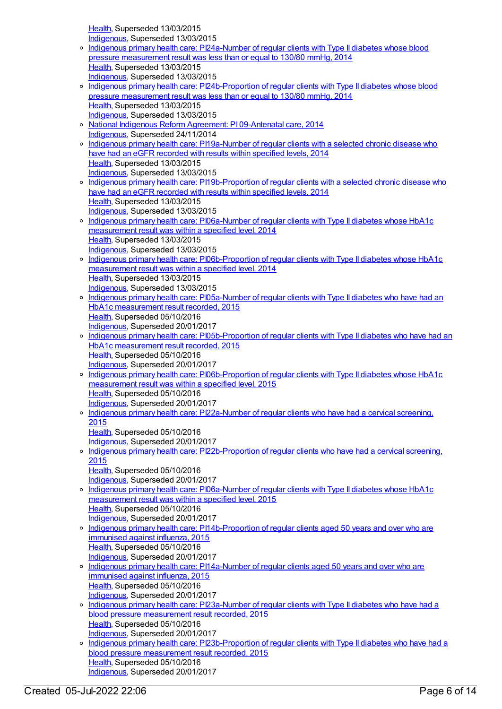[Health](https://meteor.aihw.gov.au/RegistrationAuthority/12), Superseded 13/03/2015 [Indigenous](https://meteor.aihw.gov.au/RegistrationAuthority/6), Superseded 13/03/2015

o Indigenous primary health care: [PI24a-Number](https://meteor.aihw.gov.au/content/504801) of regular clients with Type II diabetes whose blood pressure measurement result was less than or equal to 130/80 mmHg, 2014 [Health](https://meteor.aihw.gov.au/RegistrationAuthority/12), Superseded 13/03/2015 [Indigenous](https://meteor.aihw.gov.au/RegistrationAuthority/6), Superseded 13/03/2015 o Indigenous primary health care: [PI24b-Proportion](https://meteor.aihw.gov.au/content/504803) of regular clients with Type II diabetes whose blood pressure measurement result was less than or equal to 130/80 mmHg, 2014 [Health](https://meteor.aihw.gov.au/RegistrationAuthority/12), Superseded 13/03/2015 [Indigenous](https://meteor.aihw.gov.au/RegistrationAuthority/6), Superseded 13/03/2015 National Indigenous Reform Agreement: PI [09-Antenatal](https://meteor.aihw.gov.au/content/525833) care, 2014 [Indigenous](https://meteor.aihw.gov.au/RegistrationAuthority/6), Superseded 24/11/2014 o Indigenous primary health care: [PI19a-Number](https://meteor.aihw.gov.au/content/481523) of regular clients with a selected chronic disease who have had an eGFR recorded with results within specified levels, 2014 [Health](https://meteor.aihw.gov.au/RegistrationAuthority/12), Superseded 13/03/2015 [Indigenous](https://meteor.aihw.gov.au/RegistrationAuthority/6), Superseded 13/03/2015 o Indigenous primary health care: [PI19b-Proportion](https://meteor.aihw.gov.au/content/481525) of regular clients with a selected chronic disease who have had an eGFR recorded with results within specified levels, 2014 [Health](https://meteor.aihw.gov.au/RegistrationAuthority/12), Superseded 13/03/2015 [Indigenous](https://meteor.aihw.gov.au/RegistrationAuthority/6), Superseded 13/03/2015 o Indigenous primary health care: [PI06a-Number](https://meteor.aihw.gov.au/content/504704) of regular clients with Type II diabetes whose HbA1c measurement result was within a specified level, 2014 [Health](https://meteor.aihw.gov.au/RegistrationAuthority/12), Superseded 13/03/2015 [Indigenous](https://meteor.aihw.gov.au/RegistrationAuthority/6), Superseded 13/03/2015 o Indigenous primary health care: [PI06b-Proportion](https://meteor.aihw.gov.au/content/504706) of regular clients with Type II diabetes whose HbA1c measurement result was within a specified level, 2014 [Health](https://meteor.aihw.gov.au/RegistrationAuthority/12), Superseded 13/03/2015 [Indigenous](https://meteor.aihw.gov.au/RegistrationAuthority/6), Superseded 13/03/2015 o Indigenous primary health care: [PI05a-Number](https://meteor.aihw.gov.au/content/588993) of regular clients with Type II diabetes who have had an HbA1c measurement result recorded, 2015 [Health](https://meteor.aihw.gov.au/RegistrationAuthority/12), Superseded 05/10/2016 [Indigenous](https://meteor.aihw.gov.au/RegistrationAuthority/6), Superseded 20/01/2017 o Indigenous primary health care: [PI05b-Proportion](https://meteor.aihw.gov.au/content/588995) of regular clients with Type II diabetes who have had an HbA1c measurement result recorded, 2015 [Health](https://meteor.aihw.gov.au/RegistrationAuthority/12), Superseded 05/10/2016 [Indigenous](https://meteor.aihw.gov.au/RegistrationAuthority/6), Superseded 20/01/2017 o Indigenous primary health care: [PI06b-Proportion](https://meteor.aihw.gov.au/content/589004) of regular clients with Type II diabetes whose HbA1c measurement result was within a specified level, 2015 [Health](https://meteor.aihw.gov.au/RegistrationAuthority/12), Superseded 05/10/2016 [Indigenous](https://meteor.aihw.gov.au/RegistrationAuthority/6), Superseded 20/01/2017 o Indigenous primary health care: [PI22a-Number](https://meteor.aihw.gov.au/content/589075) of regular clients who have had a cervical screening, 2015 [Health](https://meteor.aihw.gov.au/RegistrationAuthority/12), Superseded 05/10/2016 [Indigenous](https://meteor.aihw.gov.au/RegistrationAuthority/6), Superseded 20/01/2017 o Indigenous primary health care: [PI22b-Proportion](https://meteor.aihw.gov.au/content/589077) of regular clients who have had a cervical screening, 2015 [Health](https://meteor.aihw.gov.au/RegistrationAuthority/12), Superseded 05/10/2016 [Indigenous](https://meteor.aihw.gov.au/RegistrationAuthority/6), Superseded 20/01/2017 o Indigenous primary health care: [PI06a-Number](https://meteor.aihw.gov.au/content/592153) of regular clients with Type II diabetes whose HbA1c measurement result was within a specified level, 2015 [Health](https://meteor.aihw.gov.au/RegistrationAuthority/12), Superseded 05/10/2016 [Indigenous](https://meteor.aihw.gov.au/RegistrationAuthority/6), Superseded 20/01/2017 o Indigenous primary health care: [PI14b-Proportion](https://meteor.aihw.gov.au/content/589053) of regular clients aged 50 years and over who are immunised against influenza, 2015 [Health](https://meteor.aihw.gov.au/RegistrationAuthority/12), Superseded 05/10/2016 [Indigenous](https://meteor.aihw.gov.au/RegistrationAuthority/6), Superseded 20/01/2017 o Indigenous primary health care: [PI14a-Number](https://meteor.aihw.gov.au/content/589051) of regular clients aged 50 years and over who are immunised against influenza, 2015 [Health](https://meteor.aihw.gov.au/RegistrationAuthority/12), Superseded 05/10/2016 [Indigenous](https://meteor.aihw.gov.au/RegistrationAuthority/6), Superseded 20/01/2017 o Indigenous primary health care: [PI23a-Number](https://meteor.aihw.gov.au/content/589079) of regular clients with Type II diabetes who have had a blood pressure measurement result recorded, 2015 [Health](https://meteor.aihw.gov.au/RegistrationAuthority/12), Superseded 05/10/2016 [Indigenous](https://meteor.aihw.gov.au/RegistrationAuthority/6), Superseded 20/01/2017 Indigenous primary health care: [PI23b-Proportion](https://meteor.aihw.gov.au/content/589081) of regular clients with Type II diabetes who have had a blood pressure measurement result recorded, 2015 [Health](https://meteor.aihw.gov.au/RegistrationAuthority/12), Superseded 05/10/2016

[Indigenous](https://meteor.aihw.gov.au/RegistrationAuthority/6), Superseded 20/01/2017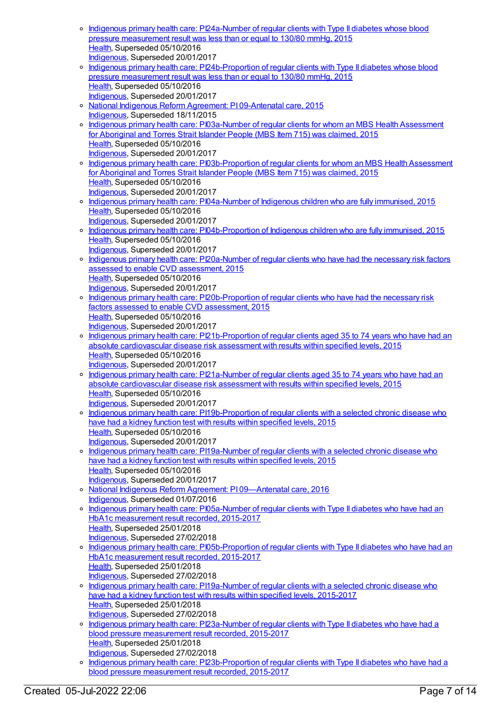- Indigenous primary health care: [PI24a-Number](https://meteor.aihw.gov.au/content/589083) of regular clients with Type II diabetes whose blood pressure measurement result was less than or equal to 130/80 mmHg, 2015 [Health](https://meteor.aihw.gov.au/RegistrationAuthority/12), Superseded 05/10/2016 [Indigenous](https://meteor.aihw.gov.au/RegistrationAuthority/6), Superseded 20/01/2017
- o Indigenous primary health care: [PI24b-Proportion](https://meteor.aihw.gov.au/content/589085) of regular clients with Type II diabetes whose blood pressure measurement result was less than or equal to 130/80 mmHg, 2015 [Health](https://meteor.aihw.gov.au/RegistrationAuthority/12), Superseded 05/10/2016 [Indigenous](https://meteor.aihw.gov.au/RegistrationAuthority/6), Superseded 20/01/2017
- o National Indigenous Reform Agreement: PI [09-Antenatal](https://meteor.aihw.gov.au/content/579080) care, 2015 [Indigenous](https://meteor.aihw.gov.au/RegistrationAuthority/6), Superseded 18/11/2015
- o Indigenous primary health care: [PI03a-Number](https://meteor.aihw.gov.au/content/588983) of regular clients for whom an MBS Health Assessment for Aboriginal and Torres Strait Islander People (MBS Item 715) was claimed, 2015 [Health](https://meteor.aihw.gov.au/RegistrationAuthority/12), Superseded 05/10/2016 [Indigenous](https://meteor.aihw.gov.au/RegistrationAuthority/6), Superseded 20/01/2017
- o Indigenous primary health care: [PI03b-Proportion](https://meteor.aihw.gov.au/content/588985) of regular clients for whom an MBS Health Assessment for Aboriginal and Torres Strait Islander People (MBS Item 715) was claimed, 2015 [Health](https://meteor.aihw.gov.au/RegistrationAuthority/12), Superseded 05/10/2016 [Indigenous](https://meteor.aihw.gov.au/RegistrationAuthority/6), Superseded 20/01/2017
- Indigenous primary health care: [PI04a-Number](https://meteor.aihw.gov.au/content/588989) of Indigenous children who are fully immunised, 2015 [Health](https://meteor.aihw.gov.au/RegistrationAuthority/12), Superseded 05/10/2016 [Indigenous](https://meteor.aihw.gov.au/RegistrationAuthority/6), Superseded 20/01/2017
- o Indigenous primary health care: [PI04b-Proportion](https://meteor.aihw.gov.au/content/588991) of Indigenous children who are fully immunised, 2015 [Health](https://meteor.aihw.gov.au/RegistrationAuthority/12), Superseded 05/10/2016 [Indigenous](https://meteor.aihw.gov.au/RegistrationAuthority/6), Superseded 20/01/2017
- o Indigenous primary health care: [PI20a-Number](https://meteor.aihw.gov.au/content/591955) of regular clients who have had the necessary risk factors assessed to enable CVD assessment, 2015 [Health](https://meteor.aihw.gov.au/RegistrationAuthority/12), Superseded 05/10/2016 [Indigenous](https://meteor.aihw.gov.au/RegistrationAuthority/6), Superseded 20/01/2017
- o Indigenous primary health care: [PI20b-Proportion](https://meteor.aihw.gov.au/content/588801) of regular clients who have had the necessary risk factors assessed to enable CVD assessment, 2015 [Health](https://meteor.aihw.gov.au/RegistrationAuthority/12), Superseded 05/10/2016 [Indigenous](https://meteor.aihw.gov.au/RegistrationAuthority/6), Superseded 20/01/2017
- o Indigenous primary health care: [PI21b-Proportion](https://meteor.aihw.gov.au/content/585230) of regular clients aged 35 to 74 years who have had an absolute cardiovascular disease risk assessment with results within specified levels, 2015 [Health](https://meteor.aihw.gov.au/RegistrationAuthority/12), Superseded 05/10/2016 [Indigenous](https://meteor.aihw.gov.au/RegistrationAuthority/6), Superseded 20/01/2017
- o Indigenous primary health care: [PI21a-Number](https://meteor.aihw.gov.au/content/591202) of regular clients aged 35 to 74 years who have had an absolute cardiovascular disease risk assessment with results within specified levels, 2015 [Health](https://meteor.aihw.gov.au/RegistrationAuthority/12), Superseded 05/10/2016 [Indigenous](https://meteor.aihw.gov.au/RegistrationAuthority/6), Superseded 20/01/2017
- o Indigenous primary health care: [PI19b-Proportion](https://meteor.aihw.gov.au/content/594108) of regular clients with a selected chronic disease who have had a kidney function test with results within specified levels, 2015 [Health](https://meteor.aihw.gov.au/RegistrationAuthority/12), Superseded 05/10/2016 [Indigenous](https://meteor.aihw.gov.au/RegistrationAuthority/6), Superseded 20/01/2017
- Indigenous primary health care: [PI19a-Number](https://meteor.aihw.gov.au/content/594135) of regular clients with a selected chronic disease who have had a kidney function test with results within specified levels, 2015 [Health](https://meteor.aihw.gov.au/RegistrationAuthority/12), Superseded 05/10/2016 [Indigenous](https://meteor.aihw.gov.au/RegistrationAuthority/6), Superseded 20/01/2017
- National Indigenous Reform Agreement: PI [09—Antenatal](https://meteor.aihw.gov.au/content/611182) care, 2016 [Indigenous](https://meteor.aihw.gov.au/RegistrationAuthority/6), Superseded 01/07/2016
- o Indigenous primary health care: [PI05a-Number](https://meteor.aihw.gov.au/content/663924) of regular clients with Type II diabetes who have had an HbA1c measurement result recorded, 2015-2017 [Health](https://meteor.aihw.gov.au/RegistrationAuthority/12), Superseded 25/01/2018 [Indigenous](https://meteor.aihw.gov.au/RegistrationAuthority/6), Superseded 27/02/2018
- o Indigenous primary health care: [PI05b-Proportion](https://meteor.aihw.gov.au/content/663926) of regular clients with Type II diabetes who have had an HbA1c measurement result recorded, 2015-2017 [Health](https://meteor.aihw.gov.au/RegistrationAuthority/12), Superseded 25/01/2018 [Indigenous](https://meteor.aihw.gov.au/RegistrationAuthority/6), Superseded 27/02/2018
- Indigenous primary health care: [PI19a-Number](https://meteor.aihw.gov.au/content/663973) of regular clients with a selected chronic disease who have had a kidney function test with results within specified levels, 2015-2017 [Health](https://meteor.aihw.gov.au/RegistrationAuthority/12), Superseded 25/01/2018 [Indigenous](https://meteor.aihw.gov.au/RegistrationAuthority/6), Superseded 27/02/2018
- o Indigenous primary health care: [PI23a-Number](https://meteor.aihw.gov.au/content/663986) of regular clients with Type II diabetes who have had a blood pressure measurement result recorded, 2015-2017 [Health](https://meteor.aihw.gov.au/RegistrationAuthority/12), Superseded 25/01/2018 [Indigenous](https://meteor.aihw.gov.au/RegistrationAuthority/6), Superseded 27/02/2018
- o Indigenous primary health care: [PI23b-Proportion](https://meteor.aihw.gov.au/content/663988) of regular clients with Type II diabetes who have had a blood pressure measurement result recorded, 2015-2017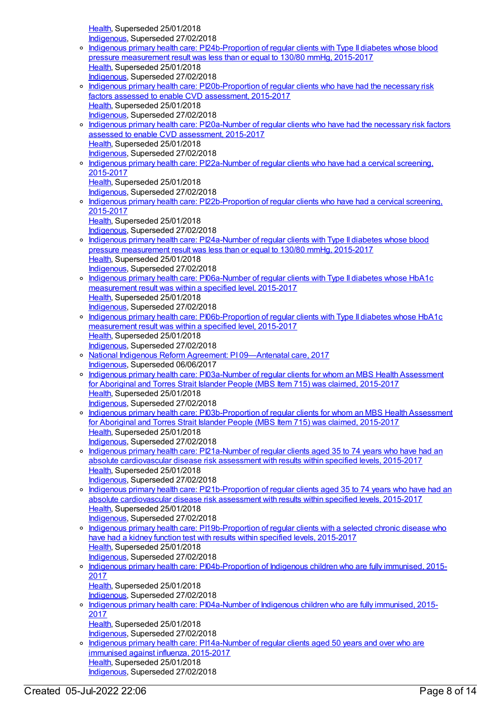[Health](https://meteor.aihw.gov.au/RegistrationAuthority/12), Superseded 25/01/2018

- [Indigenous](https://meteor.aihw.gov.au/RegistrationAuthority/6), Superseded 27/02/2018 o Indigenous primary health care: [PI24b-Proportion](https://meteor.aihw.gov.au/content/663992) of regular clients with Type II diabetes whose blood pressure measurement result was less than or equal to 130/80 mmHg, 2015-2017 [Health](https://meteor.aihw.gov.au/RegistrationAuthority/12), Superseded 25/01/2018 [Indigenous](https://meteor.aihw.gov.au/RegistrationAuthority/6), Superseded 27/02/2018 o Indigenous primary health care: [PI20b-Proportion](https://meteor.aihw.gov.au/content/663884) of regular clients who have had the necessary risk factors assessed to enable CVD assessment, 2015-2017 [Health](https://meteor.aihw.gov.au/RegistrationAuthority/12), Superseded 25/01/2018 [Indigenous](https://meteor.aihw.gov.au/RegistrationAuthority/6), Superseded 27/02/2018 o Indigenous primary health care: [PI20a-Number](https://meteor.aihw.gov.au/content/663882) of regular clients who have had the necessary risk factors assessed to enable CVD assessment, 2015-2017 [Health](https://meteor.aihw.gov.au/RegistrationAuthority/12), Superseded 25/01/2018 [Indigenous](https://meteor.aihw.gov.au/RegistrationAuthority/6), Superseded 27/02/2018 o Indigenous primary health care: [PI22a-Number](https://meteor.aihw.gov.au/content/663982) of regular clients who have had a cervical screening, 2015-2017 [Health](https://meteor.aihw.gov.au/RegistrationAuthority/12), Superseded 25/01/2018 [Indigenous](https://meteor.aihw.gov.au/RegistrationAuthority/6), Superseded 27/02/2018 Indigenous primary health care: [PI22b-Proportion](https://meteor.aihw.gov.au/content/663984) of regular clients who have had a cervical screening, 2015-2017 [Health](https://meteor.aihw.gov.au/RegistrationAuthority/12), Superseded 25/01/2018 [Indigenous](https://meteor.aihw.gov.au/RegistrationAuthority/6), Superseded 27/02/2018 o Indigenous primary health care: [PI24a-Number](https://meteor.aihw.gov.au/content/663990) of regular clients with Type II diabetes whose blood pressure measurement result was less than or equal to 130/80 mmHg, 2015-2017 [Health](https://meteor.aihw.gov.au/RegistrationAuthority/12), Superseded 25/01/2018 [Indigenous](https://meteor.aihw.gov.au/RegistrationAuthority/6), Superseded 27/02/2018 o Indigenous primary health care: [PI06a-Number](https://meteor.aihw.gov.au/content/663928) of regular clients with Type II diabetes whose HbA1c measurement result was within a specified level, 2015-2017 [Health](https://meteor.aihw.gov.au/RegistrationAuthority/12), Superseded 25/01/2018 [Indigenous](https://meteor.aihw.gov.au/RegistrationAuthority/6), Superseded 27/02/2018 o Indigenous primary health care: [PI06b-Proportion](https://meteor.aihw.gov.au/content/663930) of regular clients with Type II diabetes whose HbA1c measurement result was within a specified level, 2015-2017 [Health](https://meteor.aihw.gov.au/RegistrationAuthority/12), Superseded 25/01/2018 [Indigenous](https://meteor.aihw.gov.au/RegistrationAuthority/6), Superseded 27/02/2018 National Indigenous Reform Agreement: PI [09—Antenatal](https://meteor.aihw.gov.au/content/645400) care, 2017 [Indigenous](https://meteor.aihw.gov.au/RegistrationAuthority/6), Superseded 06/06/2017 o Indigenous primary health care: [PI03a-Number](https://meteor.aihw.gov.au/content/663909) of regular clients for whom an MBS Health Assessment for Aboriginal and Torres Strait Islander People (MBS Item 715) was claimed, 2015-2017 [Health](https://meteor.aihw.gov.au/RegistrationAuthority/12), Superseded 25/01/2018 [Indigenous](https://meteor.aihw.gov.au/RegistrationAuthority/6), Superseded 27/02/2018 o Indigenous primary health care: [PI03b-Proportion](https://meteor.aihw.gov.au/content/663913) of regular clients for whom an MBS Health Assessment for Aboriginal and Torres Strait Islander People (MBS Item 715) was claimed, 2015-2017 [Health](https://meteor.aihw.gov.au/RegistrationAuthority/12), Superseded 25/01/2018 [Indigenous](https://meteor.aihw.gov.au/RegistrationAuthority/6), Superseded 27/02/2018 o Indigenous primary health care: [PI21a-Number](https://meteor.aihw.gov.au/content/663978) of regular clients aged 35 to 74 years who have had an absolute cardiovascular disease risk assessment with results within specified levels, 2015-2017 [Health](https://meteor.aihw.gov.au/RegistrationAuthority/12), Superseded 25/01/2018 [Indigenous](https://meteor.aihw.gov.au/RegistrationAuthority/6), Superseded 27/02/2018 o Indigenous primary health care: [PI21b-Proportion](https://meteor.aihw.gov.au/content/663980) of regular clients aged 35 to 74 years who have had an absolute cardiovascular disease risk assessment with results within specified levels, 2015-2017 [Health](https://meteor.aihw.gov.au/RegistrationAuthority/12), Superseded 25/01/2018 [Indigenous](https://meteor.aihw.gov.au/RegistrationAuthority/6), Superseded 27/02/2018 o Indigenous primary health care: [PI19b-Proportion](https://meteor.aihw.gov.au/content/663976) of regular clients with a selected chronic disease who have had a kidney function test with results within specified levels, 2015-2017 [Health](https://meteor.aihw.gov.au/RegistrationAuthority/12), Superseded 25/01/2018 [Indigenous](https://meteor.aihw.gov.au/RegistrationAuthority/6), Superseded 27/02/2018 o Indigenous primary health care: [PI04b-Proportion](https://meteor.aihw.gov.au/content/663921) of Indigenous children who are fully immunised, 2015-2017 [Health](https://meteor.aihw.gov.au/RegistrationAuthority/12), Superseded 25/01/2018 [Indigenous](https://meteor.aihw.gov.au/RegistrationAuthority/6), Superseded 27/02/2018 o Indigenous primary health care: [PI04a-Number](https://meteor.aihw.gov.au/content/663916) of Indigenous children who are fully immunised, 2015-2017
	- [Health](https://meteor.aihw.gov.au/RegistrationAuthority/12), Superseded 25/01/2018
	- [Indigenous](https://meteor.aihw.gov.au/RegistrationAuthority/6), Superseded 27/02/2018
	- o Indigenous primary health care: [PI14a-Number](https://meteor.aihw.gov.au/content/663954) of regular clients aged 50 years and over who are immunised against influenza, 2015-2017 [Health](https://meteor.aihw.gov.au/RegistrationAuthority/12), Superseded 25/01/2018 [Indigenous](https://meteor.aihw.gov.au/RegistrationAuthority/6), Superseded 27/02/2018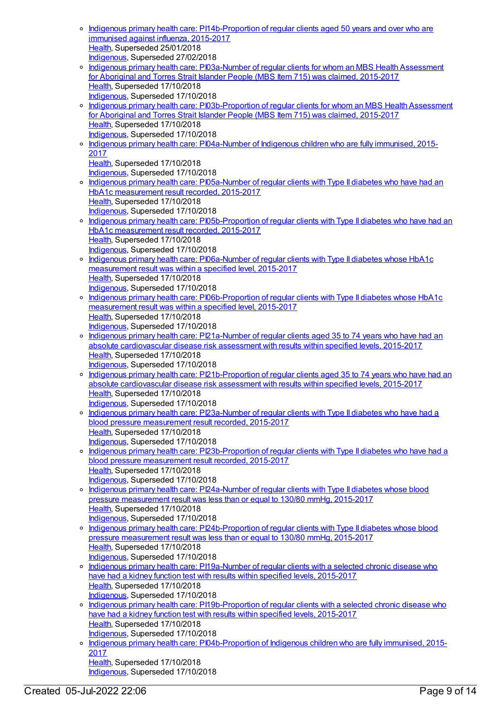- Indigenous primary health care: [PI14b-Proportion](https://meteor.aihw.gov.au/content/663956) of regular clients aged 50 years and over who are immunised against influenza, 2015-2017 [Health](https://meteor.aihw.gov.au/RegistrationAuthority/12), Superseded 25/01/2018 [Indigenous](https://meteor.aihw.gov.au/RegistrationAuthority/6), Superseded 27/02/2018
- o Indigenous primary health care: [PI03a-Number](https://meteor.aihw.gov.au/content/686350) of regular clients for whom an MBS Health Assessment for Aboriginal and Torres Strait Islander People (MBS Item 715) was claimed, 2015-2017 [Health](https://meteor.aihw.gov.au/RegistrationAuthority/12), Superseded 17/10/2018 [Indigenous](https://meteor.aihw.gov.au/RegistrationAuthority/6), Superseded 17/10/2018
- o Indigenous primary health care: [PI03b-Proportion](https://meteor.aihw.gov.au/content/686405) of regular clients for whom an MBS Health Assessment for Aboriginal and Torres Strait Islander People (MBS Item 715) was claimed, 2015-2017 [Health](https://meteor.aihw.gov.au/RegistrationAuthority/12), Superseded 17/10/2018 [Indigenous](https://meteor.aihw.gov.au/RegistrationAuthority/6), Superseded 17/10/2018
- o Indigenous primary health care: [PI04a-Number](https://meteor.aihw.gov.au/content/686410) of Indigenous children who are fully immunised, 2015-2017
	- [Health](https://meteor.aihw.gov.au/RegistrationAuthority/12), Superseded 17/10/2018
- [Indigenous](https://meteor.aihw.gov.au/RegistrationAuthority/6), Superseded 17/10/2018 o Indigenous primary health care: [PI05a-Number](https://meteor.aihw.gov.au/content/686420) of regular clients with Type II diabetes who have had an
- HbA1c measurement result recorded, 2015-2017
- [Health](https://meteor.aihw.gov.au/RegistrationAuthority/12), Superseded 17/10/2018
- [Indigenous](https://meteor.aihw.gov.au/RegistrationAuthority/6), Superseded 17/10/2018
- Indigenous primary health care: [PI05b-Proportion](https://meteor.aihw.gov.au/content/686352) of regular clients with Type II diabetes who have had an HbA1c measurement result recorded, 2015-2017 [Health](https://meteor.aihw.gov.au/RegistrationAuthority/12), Superseded 17/10/2018 [Indigenous](https://meteor.aihw.gov.au/RegistrationAuthority/6), Superseded 17/10/2018
- o Indigenous primary health care: [PI06a-Number](https://meteor.aihw.gov.au/content/686425) of regular clients with Type II diabetes whose HbA1c measurement result was within a specified level, 2015-2017 [Health](https://meteor.aihw.gov.au/RegistrationAuthority/12), Superseded 17/10/2018 [Indigenous](https://meteor.aihw.gov.au/RegistrationAuthority/6), Superseded 17/10/2018
- Indigenous primary health care: [PI06b-Proportion](https://meteor.aihw.gov.au/content/686356) of regular clients with Type II diabetes whose HbA1c measurement result was within a specified level, 2015-2017 [Health](https://meteor.aihw.gov.au/RegistrationAuthority/12), Superseded 17/10/2018 [Indigenous](https://meteor.aihw.gov.au/RegistrationAuthority/6), Superseded 17/10/2018
- o Indigenous primary health care: [PI21a-Number](https://meteor.aihw.gov.au/content/686374) of regular clients aged 35 to 74 years who have had an absolute cardiovascular disease risk assessment with results within specified levels, 2015-2017 [Health](https://meteor.aihw.gov.au/RegistrationAuthority/12), Superseded 17/10/2018 [Indigenous](https://meteor.aihw.gov.au/RegistrationAuthority/6), Superseded 17/10/2018
- o Indigenous primary health care: [PI21b-Proportion](https://meteor.aihw.gov.au/content/686376) of regular clients aged 35 to 74 years who have had an absolute cardiovascular disease risk assessment with results within specified levels, 2015-2017 [Health](https://meteor.aihw.gov.au/RegistrationAuthority/12), Superseded 17/10/2018 [Indigenous](https://meteor.aihw.gov.au/RegistrationAuthority/6), Superseded 17/10/2018
- o Indigenous primary health care: [PI23a-Number](https://meteor.aihw.gov.au/content/686379) of regular clients with Type II diabetes who have had a blood pressure measurement result recorded, 2015-2017 [Health](https://meteor.aihw.gov.au/RegistrationAuthority/12), Superseded 17/10/2018 [Indigenous](https://meteor.aihw.gov.au/RegistrationAuthority/6), Superseded 17/10/2018
- o Indigenous primary health care: [PI23b-Proportion](https://meteor.aihw.gov.au/content/686381) of regular clients with Type II diabetes who have had a blood pressure measurement result recorded, 2015-2017 [Health](https://meteor.aihw.gov.au/RegistrationAuthority/12), Superseded 17/10/2018 [Indigenous](https://meteor.aihw.gov.au/RegistrationAuthority/6), Superseded 17/10/2018
- o Indigenous primary health care: [PI24a-Number](https://meteor.aihw.gov.au/content/686383) of regular clients with Type II diabetes whose blood pressure measurement result was less than or equal to 130/80 mmHg, 2015-2017 [Health](https://meteor.aihw.gov.au/RegistrationAuthority/12), Superseded 17/10/2018 [Indigenous](https://meteor.aihw.gov.au/RegistrationAuthority/6), Superseded 17/10/2018
- o Indigenous primary health care: [PI24b-Proportion](https://meteor.aihw.gov.au/content/686385) of regular clients with Type II diabetes whose blood pressure measurement result was less than or equal to 130/80 mmHg, 2015-2017 [Health](https://meteor.aihw.gov.au/RegistrationAuthority/12), Superseded 17/10/2018 [Indigenous](https://meteor.aihw.gov.au/RegistrationAuthority/6), Superseded 17/10/2018
- o Indigenous primary health care: [PI19a-Number](https://meteor.aihw.gov.au/content/686366) of regular clients with a selected chronic disease who have had a kidney function test with results within specified levels, 2015-2017 [Health](https://meteor.aihw.gov.au/RegistrationAuthority/12), Superseded 17/10/2018 [Indigenous](https://meteor.aihw.gov.au/RegistrationAuthority/6), Superseded 17/10/2018
- o Indigenous primary health care: [PI19b-Proportion](https://meteor.aihw.gov.au/content/686368) of regular clients with a selected chronic disease who have had a kidney function test with results within specified levels, 2015-2017 [Health](https://meteor.aihw.gov.au/RegistrationAuthority/12), Superseded 17/10/2018 [Indigenous](https://meteor.aihw.gov.au/RegistrationAuthority/6), Superseded 17/10/2018
- Indigenous primary health care: [PI04b-Proportion](https://meteor.aihw.gov.au/content/686416) of Indigenous children who are fully immunised, 2015- 2017 [Health](https://meteor.aihw.gov.au/RegistrationAuthority/12), Superseded 17/10/2018

[Indigenous](https://meteor.aihw.gov.au/RegistrationAuthority/6), Superseded 17/10/2018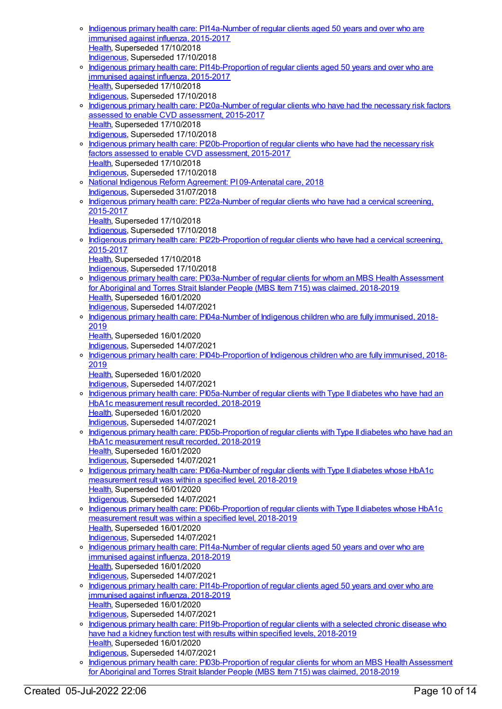| $\circ$ | Indigenous primary health care: PI14a-Number of regular clients aged 50 years and over who are                                                        |
|---------|-------------------------------------------------------------------------------------------------------------------------------------------------------|
|         | immunised against influenza, 2015-2017                                                                                                                |
|         | Health, Superseded 17/10/2018                                                                                                                         |
|         | Indigenous, Superseded 17/10/2018                                                                                                                     |
| $\circ$ | Indigenous primary health care: PI14b-Proportion of regular clients aged 50 years and over who are                                                    |
|         | immunised against influenza, 2015-2017                                                                                                                |
|         | Health, Superseded 17/10/2018<br>Indigenous, Superseded 17/10/2018                                                                                    |
| $\circ$ | Indigenous primary health care: PI20a-Number of regular clients who have had the necessary risk factors                                               |
|         | assessed to enable CVD assessment, 2015-2017                                                                                                          |
|         | Health, Superseded 17/10/2018                                                                                                                         |
|         | Indigenous, Superseded 17/10/2018                                                                                                                     |
| $\circ$ | Indigenous primary health care: PI20b-Proportion of regular clients who have had the necessary risk                                                   |
|         | factors assessed to enable CVD assessment, 2015-2017                                                                                                  |
|         | Health, Superseded 17/10/2018<br>Indigenous, Superseded 17/10/2018                                                                                    |
| $\circ$ | National Indigenous Reform Agreement: PI09-Antenatal care, 2018                                                                                       |
|         | Indigenous, Superseded 31/07/2018                                                                                                                     |
| $\circ$ | Indigenous primary health care: PI22a-Number of regular clients who have had a cervical screening.                                                    |
|         | 2015-2017                                                                                                                                             |
|         | Health, Superseded 17/10/2018                                                                                                                         |
|         | Indigenous, Superseded 17/10/2018                                                                                                                     |
| $\circ$ | Indigenous primary health care: PI22b-Proportion of regular clients who have had a cervical screening.<br>2015-2017                                   |
|         | Health, Superseded 17/10/2018                                                                                                                         |
|         | Indigenous, Superseded 17/10/2018                                                                                                                     |
| $\circ$ | Indigenous primary health care: PI03a-Number of regular clients for whom an MBS Health Assessment                                                     |
|         | for Aboriginal and Torres Strait Islander People (MBS Item 715) was claimed, 2018-2019                                                                |
|         | Health, Superseded 16/01/2020                                                                                                                         |
|         | Indigenous, Superseded 14/07/2021                                                                                                                     |
| $\circ$ | Indigenous primary health care: PI04a-Number of Indigenous children who are fully immunised, 2018-                                                    |
|         | 2019<br>Health, Superseded 16/01/2020                                                                                                                 |
|         | <b>Indigenous, Superseded 14/07/2021</b>                                                                                                              |
| $\circ$ | Indigenous primary health care: PI04b-Proportion of Indigenous children who are fully immunised, 2018-                                                |
|         | 2019                                                                                                                                                  |
|         | Health, Superseded 16/01/2020                                                                                                                         |
|         | Indigenous, Superseded 14/07/2021                                                                                                                     |
| $\circ$ | Indigenous primary health care: PI05a-Number of regular clients with Type II diabetes who have had an<br>HbA1c measurement result recorded, 2018-2019 |
|         | Health, Superseded 16/01/2020                                                                                                                         |
|         | Indigenous, Superseded 14/07/2021                                                                                                                     |
| $\circ$ | Indigenous primary health care: PI05b-Proportion of regular clients with Type II diabetes who have had an                                             |
|         | HbA1c measurement result recorded, 2018-2019                                                                                                          |
|         | Health, Superseded 16/01/2020                                                                                                                         |
|         | Indigenous, Superseded 14/07/2021                                                                                                                     |
| $\circ$ | Indigenous primary health care: PI06a-Number of regular clients with Type II diabetes whose HbA1c                                                     |
|         | measurement result was within a specified level, 2018-2019<br>Health, Superseded 16/01/2020                                                           |
|         | Indigenous, Superseded 14/07/2021                                                                                                                     |
| $\circ$ | Indigenous primary health care: PI06b-Proportion of regular clients with Type II diabetes whose HbA1c                                                 |
|         | measurement result was within a specified level, 2018-2019                                                                                            |
|         | Health, Superseded 16/01/2020                                                                                                                         |
|         | Indigenous, Superseded 14/07/2021                                                                                                                     |
| $\circ$ | Indigenous primary health care: PI14a-Number of regular clients aged 50 years and over who are                                                        |
|         | immunised against influenza, 2018-2019                                                                                                                |
|         | Health, Superseded 16/01/2020                                                                                                                         |
|         | Indigenous, Superseded 14/07/2021                                                                                                                     |

- o Indigenous primary health care: [PI14b-Proportion](https://meteor.aihw.gov.au/content/687980) of regular clients aged 50 years and over who are immunised against influenza, 2018-2019 [Health](https://meteor.aihw.gov.au/RegistrationAuthority/12), Superseded 16/01/2020 [Indigenous](https://meteor.aihw.gov.au/RegistrationAuthority/6), Superseded 14/07/2021
- Indigenous primary health care: [PI19b-Proportion](https://meteor.aihw.gov.au/content/688002) of regular clients with a selected chronic disease who have had a kidney function test with results within specified levels, 2018-2019 [Health](https://meteor.aihw.gov.au/RegistrationAuthority/12), Superseded 16/01/2020 [Indigenous](https://meteor.aihw.gov.au/RegistrationAuthority/6), Superseded 14/07/2021
- o Indigenous primary health care: [PI03b-Proportion](https://meteor.aihw.gov.au/content/687927) of regular clients for whom an MBS Health Assessment for Aboriginal and Torres Strait Islander People (MBS Item 715) was claimed, 2018-2019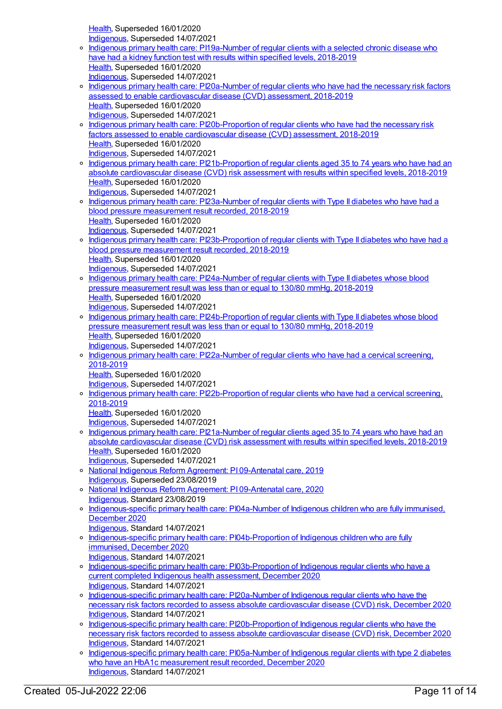- [Health](https://meteor.aihw.gov.au/RegistrationAuthority/12), Superseded 16/01/2020 [Indigenous](https://meteor.aihw.gov.au/RegistrationAuthority/6), Superseded 14/07/2021 Indigenous primary health care: [PI19a-Number](https://meteor.aihw.gov.au/content/688000) of regular clients with a selected chronic disease who have had a kidney function test with results within specified levels, 2018-2019 [Health](https://meteor.aihw.gov.au/RegistrationAuthority/12), Superseded 16/01/2020 [Indigenous](https://meteor.aihw.gov.au/RegistrationAuthority/6), Superseded 14/07/2021 o Indigenous primary health care: [PI20a-Number](https://meteor.aihw.gov.au/content/688004) of regular clients who have had the necessary risk factors assessed to enable cardiovascular disease (CVD) assessment, 2018-2019 [Health](https://meteor.aihw.gov.au/RegistrationAuthority/12), Superseded 16/01/2020 [Indigenous](https://meteor.aihw.gov.au/RegistrationAuthority/6), Superseded 14/07/2021 o Indigenous primary health care: [PI20b-Proportion](https://meteor.aihw.gov.au/content/688007) of regular clients who have had the necessary risk factors assessed to enable cardiovascular disease (CVD) assessment, 2018-2019 [Health](https://meteor.aihw.gov.au/RegistrationAuthority/12), Superseded 16/01/2020 [Indigenous](https://meteor.aihw.gov.au/RegistrationAuthority/6), Superseded 14/07/2021 o Indigenous primary health care: [PI21b-Proportion](https://meteor.aihw.gov.au/content/688012) of regular clients aged 35 to 74 years who have had an absolute cardiovascular disease (CVD) risk assessment with results within specified levels, 2018-2019 [Health](https://meteor.aihw.gov.au/RegistrationAuthority/12), Superseded 16/01/2020 [Indigenous](https://meteor.aihw.gov.au/RegistrationAuthority/6), Superseded 14/07/2021 o Indigenous primary health care: [PI23a-Number](https://meteor.aihw.gov.au/content/688018) of regular clients with Type II diabetes who have had a blood pressure measurement result recorded, 2018-2019 [Health](https://meteor.aihw.gov.au/RegistrationAuthority/12), Superseded 16/01/2020 [Indigenous](https://meteor.aihw.gov.au/RegistrationAuthority/6), Superseded 14/07/2021 o Indigenous primary health care: [PI23b-Proportion](https://meteor.aihw.gov.au/content/688020) of regular clients with Type II diabetes who have had a blood pressure measurement result recorded, 2018-2019 [Health](https://meteor.aihw.gov.au/RegistrationAuthority/12), Superseded 16/01/2020 [Indigenous](https://meteor.aihw.gov.au/RegistrationAuthority/6), Superseded 14/07/2021 <sup>o</sup> Indigenous primary health care: [PI24a-Number](https://meteor.aihw.gov.au/content/688022) of regular clients with Type II diabetes whose blood pressure measurement result was less than or equal to 130/80 mmHg, 2018-2019 [Health](https://meteor.aihw.gov.au/RegistrationAuthority/12), Superseded 16/01/2020 [Indigenous](https://meteor.aihw.gov.au/RegistrationAuthority/6), Superseded 14/07/2021 o Indigenous primary health care: [PI24b-Proportion](https://meteor.aihw.gov.au/content/688024) of regular clients with Type II diabetes whose blood pressure measurement result was less than or equal to 130/80 mmHg, 2018-2019 [Health](https://meteor.aihw.gov.au/RegistrationAuthority/12), Superseded 16/01/2020 [Indigenous](https://meteor.aihw.gov.au/RegistrationAuthority/6), Superseded 14/07/2021 o Indigenous primary health care: [PI22a-Number](https://meteor.aihw.gov.au/content/688014) of regular clients who have had a cervical screening, 2018-2019 [Health](https://meteor.aihw.gov.au/RegistrationAuthority/12), Superseded 16/01/2020 [Indigenous](https://meteor.aihw.gov.au/RegistrationAuthority/6), Superseded 14/07/2021 o Indigenous primary health care: [PI22b-Proportion](https://meteor.aihw.gov.au/content/688016) of regular clients who have had a cervical screening, 2018-2019 [Health](https://meteor.aihw.gov.au/RegistrationAuthority/12), Superseded 16/01/2020 [Indigenous](https://meteor.aihw.gov.au/RegistrationAuthority/6), Superseded 14/07/2021 Indigenous primary health care: [PI21a-Number](https://meteor.aihw.gov.au/content/688009) of regular clients aged 35 to 74 years who have had an absolute cardiovascular disease (CVD) risk assessment with results within specified levels, 2018-2019 [Health](https://meteor.aihw.gov.au/RegistrationAuthority/12), Superseded 16/01/2020 [Indigenous](https://meteor.aihw.gov.au/RegistrationAuthority/6), Superseded 14/07/2021 o National Indigenous Reform Agreement: P1[09-Antenatal](https://meteor.aihw.gov.au/content/699458) care, 2019 [Indigenous](https://meteor.aihw.gov.au/RegistrationAuthority/6), Superseded 23/08/2019 National Indigenous Reform Agreement: PI [09-Antenatal](https://meteor.aihw.gov.au/content/718488) care, 2020 [Indigenous](https://meteor.aihw.gov.au/RegistrationAuthority/6), Standard 23/08/2019 o [Indigenous-specific](https://meteor.aihw.gov.au/content/739311) primary health care: PI04a-Number of Indigenous children who are fully immunised. December 2020 [Indigenous](https://meteor.aihw.gov.au/RegistrationAuthority/6), Standard 14/07/2021 o [Indigenous-specific](https://meteor.aihw.gov.au/content/739342) primary health care: PI04b-Proportion of Indigenous children who are fully immunised, December 2020 [Indigenous](https://meteor.aihw.gov.au/RegistrationAuthority/6), Standard 14/07/2021 o [Indigenous-specific](https://meteor.aihw.gov.au/content/731804) primary health care: PI03b-Proportion of Indigenous regular clients who have a current completed Indigenous health assessment, December 2020
	- [Indigenous](https://meteor.aihw.gov.au/RegistrationAuthority/6), Standard 14/07/2021 o [Indigenous-specific](https://meteor.aihw.gov.au/content/739463) primary health care: PI20a-Number of Indigenous regular clients who have the necessary risk factors recorded to assess absolute cardiovascular disease (CVD) risk, December 2020 [Indigenous](https://meteor.aihw.gov.au/RegistrationAuthority/6), Standard 14/07/2021
	- o [Indigenous-specific](https://meteor.aihw.gov.au/content/739465) primary health care: PI20b-Proportion of Indigenous regular clients who have the necessary risk factors recorded to assess absolute cardiovascular disease (CVD) risk, December 2020 [Indigenous](https://meteor.aihw.gov.au/RegistrationAuthority/6), Standard 14/07/2021
	- o [Indigenous-specific](https://meteor.aihw.gov.au/content/739345) primary health care: PI05a-Number of Indigenous regular clients with type 2 diabetes who have an HbA1c measurement result recorded, December 2020 [Indigenous](https://meteor.aihw.gov.au/RegistrationAuthority/6), Standard 14/07/2021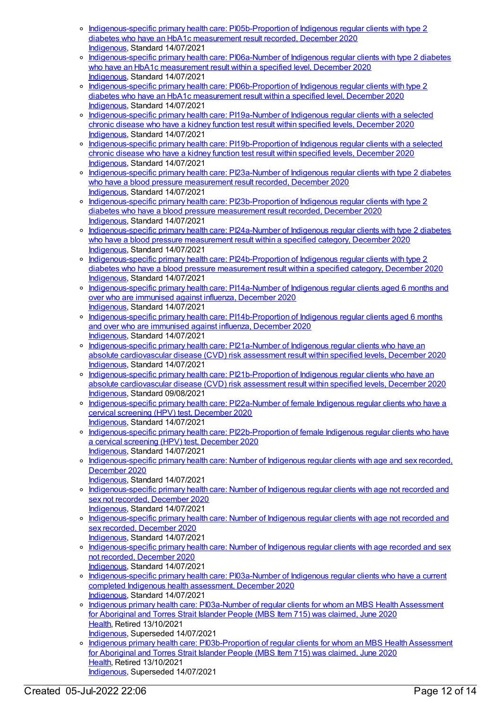- [Indigenous-specific](https://meteor.aihw.gov.au/content/739347) primary health care: PI05b-Proportion of Indigenous regular clients with type 2 diabetes who have an HbA1c measurement result recorded, December 2020 [Indigenous](https://meteor.aihw.gov.au/RegistrationAuthority/6), Standard 14/07/2021
- o [Indigenous-specific](https://meteor.aihw.gov.au/content/739351) primary health care: PI06a-Number of Indigenous regular clients with type 2 diabetes who have an HbA1c measurement result within a specified level, December 2020 [Indigenous](https://meteor.aihw.gov.au/RegistrationAuthority/6), Standard 14/07/2021
- o [Indigenous-specific](https://meteor.aihw.gov.au/content/739353) primary health care: PI06b-Proportion of Indigenous regular clients with type 2 diabetes who have an HbA1c measurement result within a specified level, December 2020 [Indigenous](https://meteor.aihw.gov.au/RegistrationAuthority/6), Standard 14/07/2021
- o [Indigenous-specific](https://meteor.aihw.gov.au/content/739450) primary health care: PI19a-Number of Indigenous regular clients with a selected chronic disease who have a kidney function test result within specified levels, December 2020 [Indigenous](https://meteor.aihw.gov.au/RegistrationAuthority/6), Standard 14/07/2021
- o [Indigenous-specific](https://meteor.aihw.gov.au/content/739454) primary health care: PI19b-Proportion of Indigenous regular clients with a selected chronic disease who have a kidney function test result within specified levels, December 2020 [Indigenous](https://meteor.aihw.gov.au/RegistrationAuthority/6), Standard 14/07/2021
- o [Indigenous-specific](https://meteor.aihw.gov.au/content/739474) primary health care: PI23a-Number of Indigenous regular clients with type 2 diabetes who have a blood pressure measurement result recorded, December 2020 [Indigenous](https://meteor.aihw.gov.au/RegistrationAuthority/6), Standard 14/07/2021
- o [Indigenous-specific](https://meteor.aihw.gov.au/content/739478) primary health care: PI23b-Proportion of Indigenous regular clients with type 2 diabetes who have a blood pressure measurement result recorded, December 2020 [Indigenous](https://meteor.aihw.gov.au/RegistrationAuthority/6), Standard 14/07/2021
- o [Indigenous-specific](https://meteor.aihw.gov.au/content/739481) primary health care: PI24a-Number of Indigenous regular clients with type 2 diabetes who have a blood pressure measurement result within a specified category, December 2020 [Indigenous](https://meteor.aihw.gov.au/RegistrationAuthority/6), Standard 14/07/2021
- o [Indigenous-specific](https://meteor.aihw.gov.au/content/739483) primary health care: PI24b-Proportion of Indigenous regular clients with type 2 diabetes who have a blood pressure measurement result within a specified category, December 2020 [Indigenous](https://meteor.aihw.gov.au/RegistrationAuthority/6), Standard 14/07/2021
- o [Indigenous-specific](https://meteor.aihw.gov.au/content/731851) primary health care: PI14a-Number of Indigenous regular clients aged 6 months and over who are immunised against influenza, December 2020 [Indigenous](https://meteor.aihw.gov.au/RegistrationAuthority/6), Standard 14/07/2021
- o [Indigenous-specific](https://meteor.aihw.gov.au/content/731856) primary health care: PI14b-Proportion of Indigenous regular clients aged 6 months and over who are immunised against influenza, December 2020 [Indigenous](https://meteor.aihw.gov.au/RegistrationAuthority/6), Standard 14/07/2021
- o [Indigenous-specific](https://meteor.aihw.gov.au/content/739468) primary health care: PI21a-Number of Indigenous regular clients who have an absolute cardiovascular disease (CVD) risk assessment result within specified levels, December 2020 [Indigenous](https://meteor.aihw.gov.au/RegistrationAuthority/6), Standard 14/07/2021
- o [Indigenous-specific](https://meteor.aihw.gov.au/content/739470) primary health care: PI21b-Proportion of Indigenous regular clients who have an absolute cardiovascular disease (CVD) risk assessment result within specified levels, December 2020 [Indigenous](https://meteor.aihw.gov.au/RegistrationAuthority/6), Standard 09/08/2021
- o [Indigenous-specific](https://meteor.aihw.gov.au/content/731858) primary health care: PI22a-Number of female Indigenous regular clients who have a cervical screening (HPV) test, December 2020 [Indigenous](https://meteor.aihw.gov.au/RegistrationAuthority/6), Standard 14/07/2021
- o [Indigenous-specific](https://meteor.aihw.gov.au/content/731863) primary health care: PI22b-Proportion of female Indigenous regular clients who have a cervical screening (HPV) test, December 2020 [Indigenous](https://meteor.aihw.gov.au/RegistrationAuthority/6), Standard 14/07/2021
- o [Indigenous-specific](https://meteor.aihw.gov.au/content/742530) primary health care: Number of Indigenous regular clients with age and sex recorded. December 2020
	- [Indigenous](https://meteor.aihw.gov.au/RegistrationAuthority/6), Standard 14/07/2021
- [Indigenous-specific](https://meteor.aihw.gov.au/content/742533) primary health care: Number of Indigenous regular clients with age not recorded and sex not recorded, December 2020 [Indigenous](https://meteor.aihw.gov.au/RegistrationAuthority/6), Standard 14/07/2021
- o [Indigenous-specific](https://meteor.aihw.gov.au/content/742536) primary health care: Number of Indigenous regular clients with age not recorded and sex recorded, December 2020 [Indigenous](https://meteor.aihw.gov.au/RegistrationAuthority/6), Standard 14/07/2021
- o [Indigenous-specific](https://meteor.aihw.gov.au/content/742541) primary health care: Number of Indigenous regular clients with age recorded and sex not recorded, December 2020 [Indigenous](https://meteor.aihw.gov.au/RegistrationAuthority/6), Standard 14/07/2021
- o [Indigenous-specific](https://meteor.aihw.gov.au/content/731791) primary health care: PI03a-Number of Indigenous regular clients who have a current completed Indigenous health assessment, December 2020 [Indigenous](https://meteor.aihw.gov.au/RegistrationAuthority/6), Standard 14/07/2021
- o Indigenous primary health care: [PI03a-Number](https://meteor.aihw.gov.au/content/717273) of regular clients for whom an MBS Health Assessment for Aboriginal and Torres Strait Islander People (MBS Item 715) was claimed, June 2020 [Health](https://meteor.aihw.gov.au/RegistrationAuthority/12), Retired 13/10/2021 [Indigenous](https://meteor.aihw.gov.au/RegistrationAuthority/6), Superseded 14/07/2021
- o Indigenous primary health care: [PI03b-Proportion](https://meteor.aihw.gov.au/content/717275) of regular clients for whom an MBS Health Assessment for Aboriginal and Torres Strait Islander People (MBS Item 715) was claimed, June 2020 [Health](https://meteor.aihw.gov.au/RegistrationAuthority/12), Retired 13/10/2021 [Indigenous](https://meteor.aihw.gov.au/RegistrationAuthority/6), Superseded 14/07/2021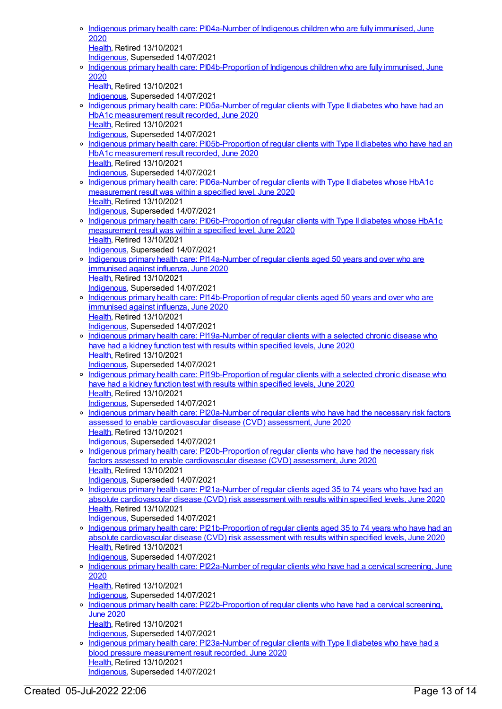| $\circ$ | Indigenous primary health care: PI04a-Number of Indigenous children who are fully immunised, June<br>2020 |
|---------|-----------------------------------------------------------------------------------------------------------|
|         | Health, Retired 13/10/2021                                                                                |
|         | Indigenous, Superseded 14/07/2021                                                                         |
| $\circ$ | Indigenous primary health care: PI04b-Proportion of Indigenous children who are fully immunised, June     |
|         | 2020                                                                                                      |
|         | Health, Retired 13/10/2021                                                                                |
|         | Indigenous, Superseded 14/07/2021                                                                         |
|         | o Indigenous primary health care: PI05a-Number of regular clients with Type II diabetes who have had an   |
|         | HbA1c measurement result recorded, June 2020                                                              |
|         | Health, Retired 13/10/2021                                                                                |
|         | Indigenous, Superseded 14/07/2021                                                                         |
| $\circ$ | Indigenous primary health care: PI05b-Proportion of regular clients with Type II diabetes who have had an |
|         | HbA1c measurement result recorded, June 2020                                                              |
|         | Health, Retired 13/10/2021                                                                                |
|         | Indigenous, Superseded 14/07/2021                                                                         |
| $\circ$ | Indigenous primary health care: PI06a-Number of regular clients with Type II diabetes whose HbA1c         |
|         | measurement result was within a specified level, June 2020<br>Health, Retired 13/10/2021                  |
|         | Indigenous, Superseded 14/07/2021                                                                         |
| $\circ$ | Indigenous primary health care: PI06b-Proportion of regular clients with Type II diabetes whose HbA1c     |
|         | measurement result was within a specified level, June 2020                                                |
|         | Health, Retired 13/10/2021                                                                                |
|         | Indigenous, Superseded 14/07/2021                                                                         |
| $\circ$ | Indigenous primary health care: PI14a-Number of regular clients aged 50 years and over who are            |
|         | immunised against influenza, June 2020                                                                    |
|         | Health, Retired 13/10/2021                                                                                |
|         | Indigenous, Superseded 14/07/2021                                                                         |
| $\circ$ | Indigenous primary health care: PI14b-Proportion of regular clients aged 50 years and over who are        |
|         | immunised against influenza, June 2020                                                                    |
|         | Health, Retired 13/10/2021                                                                                |
|         | Indigenous, Superseded 14/07/2021                                                                         |
| $\circ$ | Indigenous primary health care: PI19a-Number of regular clients with a selected chronic disease who       |
|         | have had a kidney function test with results within specified levels, June 2020                           |
|         | Health, Retired 13/10/2021<br>Indigenous, Superseded 14/07/2021                                           |
| $\circ$ | Indigenous primary health care: PI19b-Proportion of regular clients with a selected chronic disease who   |
|         | have had a kidney function test with results within specified levels, June 2020                           |
|         | Health, Retired 13/10/2021                                                                                |
|         | Indigenous, Superseded 14/07/2021                                                                         |
| $\circ$ | Indigenous primary health care: PI20a-Number of regular clients who have had the necessary risk factors   |
|         | assessed to enable cardiovascular disease (CVD) assessment, June 2020                                     |
|         | Health, Retired 13/10/2021                                                                                |
|         | Indigenous, Superseded 14/07/2021                                                                         |
| $\circ$ | Indigenous primary health care: PI20b-Proportion of regular clients who have had the necessary risk       |
|         | factors assessed to enable cardiovascular disease (CVD) assessment, June 2020                             |
|         | Health, Retired 13/10/2021<br>Indigenous, Superseded 14/07/2021                                           |
| $\circ$ | Indigenous primary health care: PI21a-Number of regular clients aged 35 to 74 years who have had an       |
|         | absolute cardiovascular disease (CVD) risk assessment with results within specified levels, June 2020     |
|         | Health, Retired 13/10/2021                                                                                |
|         | Indigenous, Superseded 14/07/2021                                                                         |
| $\circ$ | Indigenous primary health care: PI21b-Proportion of regular clients aged 35 to 74 years who have had an   |
|         | absolute cardiovascular disease (CVD) risk assessment with results within specified levels, June 2020     |
|         | Health, Retired 13/10/2021                                                                                |
|         | Indigenous, Superseded 14/07/2021                                                                         |
|         | o Indigenous primary health care: PI22a-Number of regular clients who have had a cervical screening, June |
|         | 2020                                                                                                      |
|         | Health, Retired 13/10/2021                                                                                |
|         | Indigenous, Superseded 14/07/2021                                                                         |
| $\circ$ | Indigenous primary health care: PI22b-Proportion of regular clients who have had a cervical screening.    |
|         | <b>June 2020</b>                                                                                          |
|         | Health, Retired 13/10/2021<br>Indigenous, Superseded 14/07/2021                                           |
| $\circ$ | Indigenous primary health care: PI23a-Number of regular clients with Type II diabetes who have had a      |
|         | blood pressure measurement result recorded, June 2020                                                     |
|         | Health, Retired 13/10/2021                                                                                |
|         | Indigenous, Superseded 14/07/2021                                                                         |